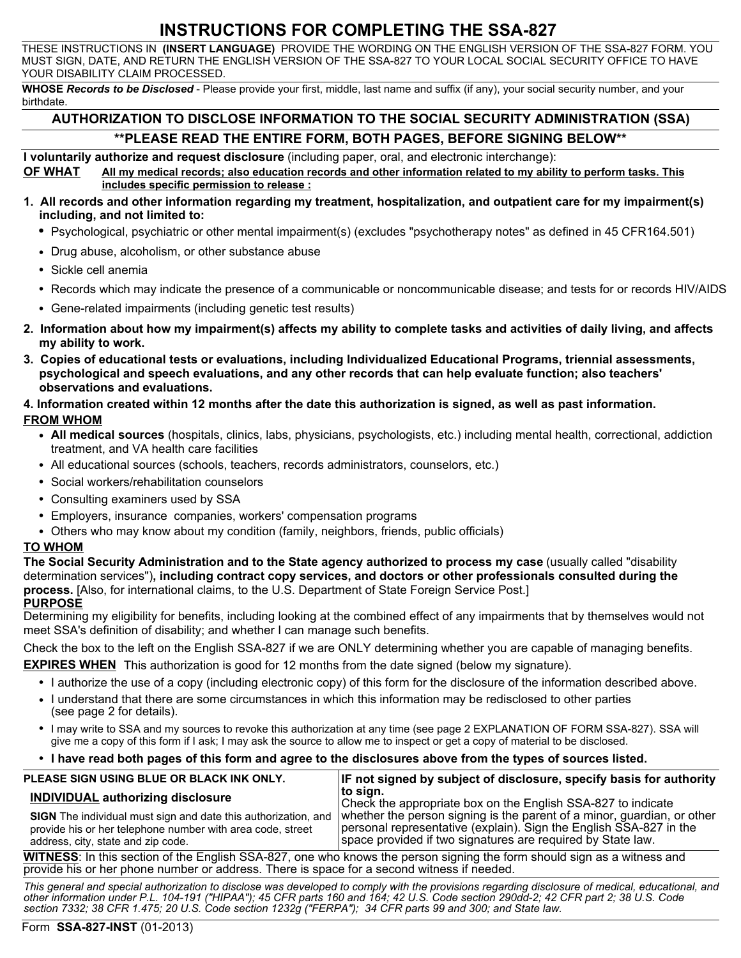# **INSTRUCTIONS FOR COMPLETING THE SSA-827**

THESE INSTRUCTIONS IN **(INSERT LANGUAGE)** PROVIDE THE WORDING ON THE ENGLISH VERSION OF THE SSA-827 FORM. YOU MUST SIGN, DATE, AND RETURN THE ENGLISH VERSION OF THE SSA-827 TO YOUR LOCAL SOCIAL SECURITY OFFICE TO HAVE YOUR DISABILITY CLAIM PROCESSED.

**WHOSE** *Records to be Disclosed* - Please provide your first, middle, last name and suffix (if any), your social security number, and your birthdate.

### **AUTHORIZATION TO DISCLOSE INFORMATION TO THE SOCIAL SECURITY ADMINISTRATION (SSA) \*\*PLEASE READ THE ENTIRE FORM, BOTH PAGES, BEFORE SIGNING BELOW\*\***

**I voluntarily authorize and request disclosure** (including paper, oral, and electronic interchange):

**OF WHAT All my medical records; also education records and other information related to my ability to perform tasks. This includes specific permission to release :**

- **1. All records and other information regarding my treatment, hospitalization, and outpatient care for my impairment(s) including, and not limited to:**
	- **•** Psychological, psychiatric or other mental impairment(s) (excludes "psychotherapy notes" as defined in 45 CFR164.501)
	- Drug abuse, alcoholism, or other substance abuse
	- Sickle cell anemia
	- Records which may indicate the presence of a communicable or noncommunicable disease; and tests for or records HIV/AIDS
	- Gene-related impairments (including genetic test results)
- **2. Information about how my impairment(s) affects my ability to complete tasks and activities of daily living, and affects my ability to work.**
- **3. Copies of educational tests or evaluations, including Individualized Educational Programs, triennial assessments, psychological and speech evaluations, and any other records that can help evaluate function; also teachers' observations and evaluations.**

#### **4. Information created within 12 months after the date this authorization is signed, as well as past information. FROM WHOM**

- **All medical sources** (hospitals, clinics, labs, physicians, psychologists, etc.) including mental health, correctional, addiction treatment, and VA health care facilities
- All educational sources (schools, teachers, records administrators, counselors, etc.)
- Social workers/rehabilitation counselors
- Consulting examiners used by SSA
- Employers, insurance companies, workers' compensation programs
- Others who may know about my condition (family, neighbors, friends, public officials)

#### **TO WHOM**

**The Social Security Administration and to the State agency authorized to process my case** (usually called "disability determination services")**, including contract copy services, and doctors or other professionals consulted during the process.** [Also, for international claims, to the U.S. Department of State Foreign Service Post.]

#### **PURPOSE**

Determining my eligibility for benefits, including looking at the combined effect of any impairments that by themselves would not meet SSA's definition of disability; and whether I can manage such benefits.

Check the box to the left on the English SSA-827 if we are ONLY determining whether you are capable of managing benefits.

**EXPIRES WHEN** This authorization is good for 12 months from the date signed (below my signature).

- I authorize the use of a copy (including electronic copy) of this form for the disclosure of the information described above.
- I understand that there are some circumstances in which this information may be redisclosed to other parties (see page 2 for details).
- I may write to SSA and my sources to revoke this authorization at any time (see page 2 EXPLANATION OF FORM SSA-827). SSA will give me a copy of this form if I ask; I may ask the source to allow me to inspect or get a copy of material to be disclosed.

#### • **I have read both pages of this form and agree to the disclosures above from the types of sources listed.**

| PLEASE SIGN USING BLUE OR BLACK INK ONLY.                                                                               | <b>IF not signed by subject of disclosure, specify basis for authority</b>                                                                                                                                                                                                  |
|-------------------------------------------------------------------------------------------------------------------------|-----------------------------------------------------------------------------------------------------------------------------------------------------------------------------------------------------------------------------------------------------------------------------|
| <b>INDIVIDUAL authorizing disclosure</b>                                                                                | ∣to sian.<br>Check the appropriate box on the English SSA-827 to indicate                                                                                                                                                                                                   |
| provide his or her telephone number with area code, street<br>address, city, state and zip code.                        | SIGN The individual must sign and date this authorization, and whether the person signing is the parent of a minor, guardian, or other<br>personal representative (explain). Sign the English SSA-827 in the<br>space provided if two signatures are required by State law. |
| WITNESS: In this section of the English SSA-827, one who knows the person signing the form should sign as a witness and |                                                                                                                                                                                                                                                                             |

**WITNESS**: In this section of the English SSA-827, one who knows the person signing the form should sign as a witness and provide his or her phone number or address. There is space for a second witness if needed.

*This general and special authorization to disclose was developed to comply with the provisions regarding disclosure of medical, educational, and other information under P.L. 104-191 ("HIPAA"); 45 CFR parts 160 and 164; 42 U.S. Code section 290dd-2; 42 CFR part 2; 38 U.S. Code section 7332; 38 CFR 1.475; 20 U.S. Code section 1232g ("FERPA"); 34 CFR parts 99 and 300; and State law.*